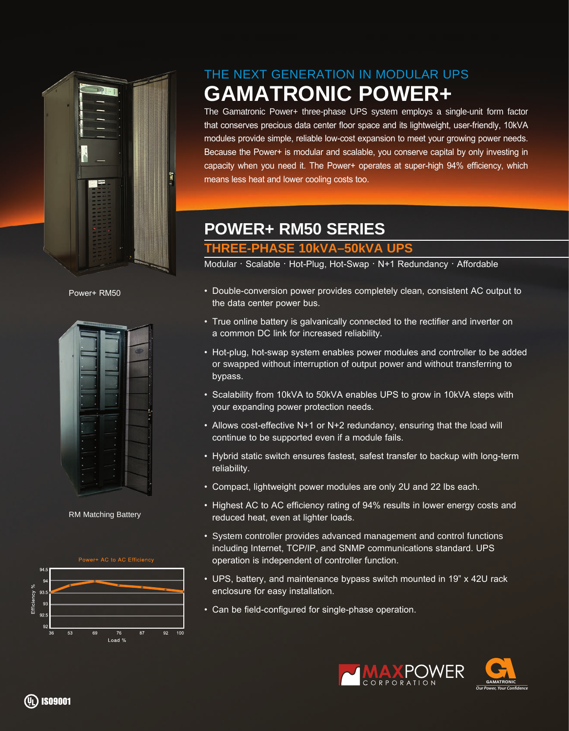

Power+ RM50



RM Matching Battery



## THE NEXT GENERATION IN MODULAR UPS **GAMATRONIC POWER+**

The Gamatronic Power+ three-phase UPS system employs a single-unit form factor that conserves precious data center floor space and its lightweight, user-friendly, 10kVA modules provide simple, reliable low-cost expansion to meet your growing power needs. Because the Power+ is modular and scalable, you conserve capital by only investing in capacity when you need it. The Power+ operates at super-high 94% efficiency, which means less heat and lower cooling costs too.

## **POWER+ RM50 SERIES**

## **THREE-PHASE 10kVA–50kVA UPS**

Modular ∙ Scalable ∙ Hot-Plug, Hot-Swap ∙ N+1 Redundancy ∙ Affordable

- Double-conversion power provides completely clean, consistent AC output to the data center power bus.
- True online battery is galvanically connected to the rectifier and inverter on a common DC link for increased reliability.
- Hot-plug, hot-swap system enables power modules and controller to be added or swapped without interruption of output power and without transferring to bypass.
- Scalability from 10kVA to 50kVA enables UPS to grow in 10kVA steps with your expanding power protection needs.
- Allows cost-effective N+1 or N+2 redundancy, ensuring that the load will continue to be supported even if a module fails.
- Hybrid static switch ensures fastest, safest transfer to backup with long-term reliability.
- Compact, lightweight power modules are only 2U and 22 lbs each.
- Highest AC to AC efficiency rating of 94% results in lower energy costs and reduced heat, even at lighter loads.
- System controller provides advanced management and control functions including Internet, TCP/IP, and SNMP communications standard. UPS operation is independent of controller function.
- UPS, battery, and maintenance bypass switch mounted in 19" x 42U rack enclosure for easy installation.
- Can be field-configured for single-phase operation.